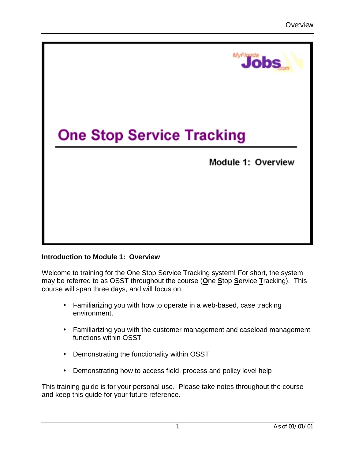

## **Introduction to Module 1: Overview**

Welcome to training for the One Stop Service Tracking system! For short, the system may be referred to as OSST throughout the course (**O**ne **S**top **S**ervice **T**racking). This course will span three days, and will focus on:

- Familiarizing you with how to operate in a web-based, case tracking environment.
- Familiarizing you with the customer management and caseload management functions within OSST
- Demonstrating the functionality within OSST
- Demonstrating how to access field, process and policy level help

This training guide is for your personal use. Please take notes throughout the course and keep this guide for your future reference.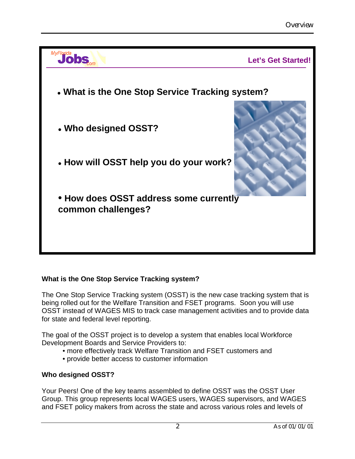

# **What is the One Stop Service Tracking system?**

The One Stop Service Tracking system (OSST) is the new case tracking system that is being rolled out for the Welfare Transition and FSET programs. Soon you will use OSST instead of WAGES MIS to track case management activities and to provide data for state and federal level reporting.

The goal of the OSST project is to develop a system that enables local Workforce Development Boards and Service Providers to:

- •more effectively track Welfare Transition and FSET customers and
- •provide better access to customer information

# **Who designed OSST?**

Your Peers! One of the key teams assembled to define OSST was the OSST User Group. This group represents local WAGES users, WAGES supervisors, and WAGES and FSET policy makers from across the state and across various roles and levels of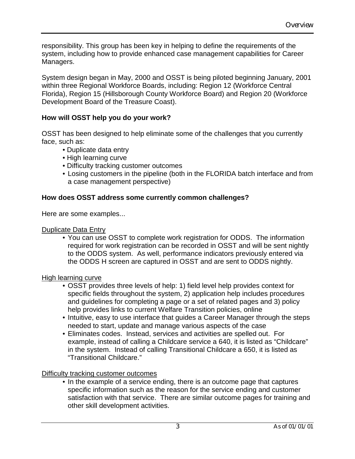responsibility. This group has been key in helping to define the requirements of the system, including how to provide enhanced case management capabilities for Career Managers.

System design began in May, 2000 and OSST is being piloted beginning January, 2001 within three Regional Workforce Boards, including: Region 12 (Workforce Central Florida), Region 15 (Hillsborough County Workforce Board) and Region 20 (Workforce Development Board of the Treasure Coast).

# **How will OSST help you do your work?**

OSST has been designed to help eliminate some of the challenges that you currently face, such as:

- •Duplicate data entry
- •High learning curve
- •Difficulty tracking customer outcomes
- Losing customers in the pipeline (both in the FLORIDA batch interface and from a case management perspective)

# **How does OSST address some currently common challenges?**

Here are some examples...

## Duplicate Data Entry

• You can use OSST to complete work registration for ODDS. The information required for work registration can be recorded in OSST and will be sent nightly to the ODDS system. As well, performance indicators previously entered via the ODDS H screen are captured in OSST and are sent to ODDS nightly.

## High learning curve

- OSST provides three levels of help: 1) field level help provides context for specific fields throughout the system, 2) application help includes procedures and guidelines for completing a page or a set of related pages and 3) policy help provides links to current Welfare Transition policies, online
- Intuitive, easy to use interface that guides a Career Manager through the steps needed to start, update and manage various aspects of the case
- Eliminates codes. Instead, services and activities are spelled out. For example, instead of calling a Childcare service a 640, it is listed as "Childcare" in the system. Instead of calling Transitional Childcare a 650, it is listed as "Transitional Childcare."

## Difficulty tracking customer outcomes

• In the example of a service ending, there is an outcome page that captures specific information such as the reason for the service ending and customer satisfaction with that service. There are similar outcome pages for training and other skill development activities.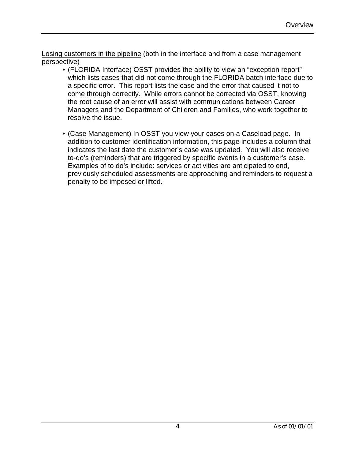Losing customers in the pipeline (both in the interface and from a case management perspective)

- (FLORIDA Interface) OSST provides the ability to view an "exception report" which lists cases that did not come through the FLORIDA batch interface due to a specific error. This report lists the case and the error that caused it not to come through correctly. While errors cannot be corrected via OSST, knowing the root cause of an error will assist with communications between Career Managers and the Department of Children and Families, who work together to resolve the issue.
- (Case Management) In OSST you view your cases on a Caseload page. In addition to customer identification information, this page includes a column that indicates the last date the customer's case was updated. You will also receive to-do's (reminders) that are triggered by specific events in a customer's case. Examples of to do's include: services or activities are anticipated to end, previously scheduled assessments are approaching and reminders to request a penalty to be imposed or lifted.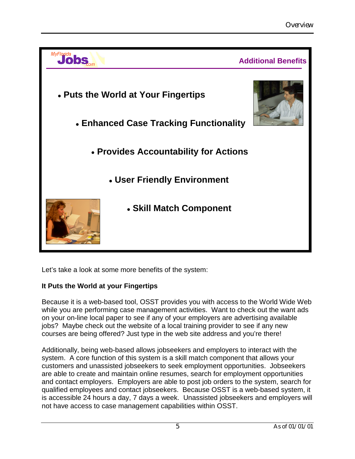

Let's take a look at some more benefits of the system:

# **It Puts the World at your Fingertips**

Because it is a web-based tool, OSST provides you with access to the World Wide Web while you are performing case management activities. Want to check out the want ads on your on-line local paper to see if any of your employers are advertising available jobs? Maybe check out the website of a local training provider to see if any new courses are being offered? Just type in the web site address and you're there!

Additionally, being web-based allows jobseekers and employers to interact with the system. A core function of this system is a skill match component that allows your customers and unassisted jobseekers to seek employment opportunities. Jobseekers are able to create and maintain online resumes, search for employment opportunities and contact employers. Employers are able to post job orders to the system, search for qualified employees and contact jobseekers. Because OSST is a web-based system, it is accessible 24 hours a day, 7 days a week. Unassisted jobseekers and employers will not have access to case management capabilities within OSST.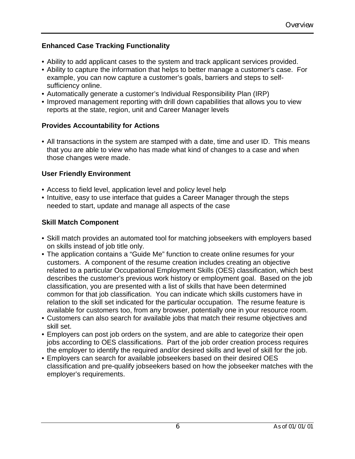# **Enhanced Case Tracking Functionality**

- Ability to add applicant cases to the system and track applicant services provided.
- Ability to capture the information that helps to better manage a customer's case. For example, you can now capture a customer's goals, barriers and steps to selfsufficiency online.
- Automatically generate a customer's Individual Responsibility Plan (IRP)
- Improved management reporting with drill down capabilities that allows you to view reports at the state, region, unit and Career Manager levels

# **Provides Accountability for Actions**

• All transactions in the system are stamped with a date, time and user ID. This means that you are able to view who has made what kind of changes to a case and when those changes were made.

# **User Friendly Environment**

- Access to field level, application level and policy level help
- Intuitive, easy to use interface that guides a Career Manager through the steps needed to start, update and manage all aspects of the case

# **Skill Match Component**

- Skill match provides an automated tool for matching jobseekers with employers based on skills instead of job title only.
- The application contains a "Guide Me" function to create online resumes for your customers. A component of the resume creation includes creating an objective related to a particular Occupational Employment Skills (OES) classification, which best describes the customer's previous work history or employment goal. Based on the job classification, you are presented with a list of skills that have been determined common for that job classification. You can indicate which skills customers have in relation to the skill set indicated for the particular occupation. The resume feature is available for customers too, from any browser, potentially one in your resource room.
- Customers can also search for available jobs that match their resume objectives and skill set.
- Employers can post job orders on the system, and are able to categorize their open jobs according to OES classifications. Part of the job order creation process requires the employer to identify the required and/or desired skills and level of skill for the job.
- Employers can search for available jobseekers based on their desired OES classification and pre-qualify jobseekers based on how the jobseeker matches with the employer's requirements.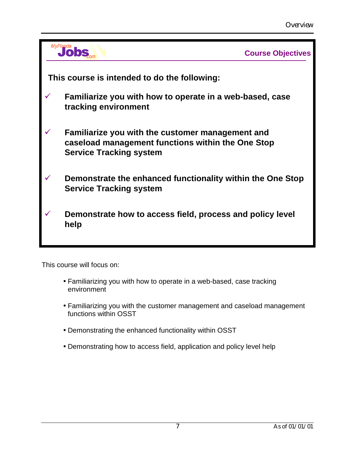|              |                                                                                                                                         | <b>Course Objectives</b> |  |  |  |  |  |
|--------------|-----------------------------------------------------------------------------------------------------------------------------------------|--------------------------|--|--|--|--|--|
|              | This course is intended to do the following:                                                                                            |                          |  |  |  |  |  |
| $\checkmark$ | Familiarize you with how to operate in a web-based, case<br>tracking environment                                                        |                          |  |  |  |  |  |
|              | Familiarize you with the customer management and<br>caseload management functions within the One Stop<br><b>Service Tracking system</b> |                          |  |  |  |  |  |
|              | Demonstrate the enhanced functionality within the One Stop<br><b>Service Tracking system</b>                                            |                          |  |  |  |  |  |
|              | Demonstrate how to access field, process and policy level<br>help                                                                       |                          |  |  |  |  |  |

This course will focus on:

- Familiarizing you with how to operate in a web-based, case tracking environment
- Familiarizing you with the customer management and caseload management functions within OSST
- Demonstrating the enhanced functionality within OSST
- Demonstrating how to access field, application and policy level help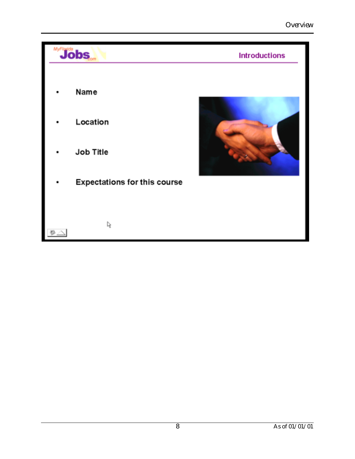| <b><i>MyFloda</i></b> |                                     | <b>Introductions</b> |
|-----------------------|-------------------------------------|----------------------|
|                       | Name<br>Location<br>Job Title       |                      |
|                       | <b>Expectations for this course</b> |                      |
|                       | r,                                  |                      |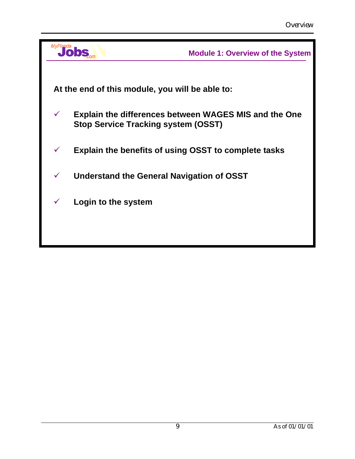| MvFlorida    |                                                             | <b>Module 1: Overview of the System</b>                      |
|--------------|-------------------------------------------------------------|--------------------------------------------------------------|
|              |                                                             |                                                              |
|              | At the end of this module, you will be able to:             |                                                              |
| $\checkmark$ | <b>Stop Service Tracking system (OSST)</b>                  | <b>Explain the differences between WAGES MIS and the One</b> |
| $\checkmark$ | <b>Explain the benefits of using OSST to complete tasks</b> |                                                              |
| $\checkmark$ | Understand the General Navigation of OSST                   |                                                              |
| $\checkmark$ | Login to the system                                         |                                                              |
|              |                                                             |                                                              |
|              |                                                             |                                                              |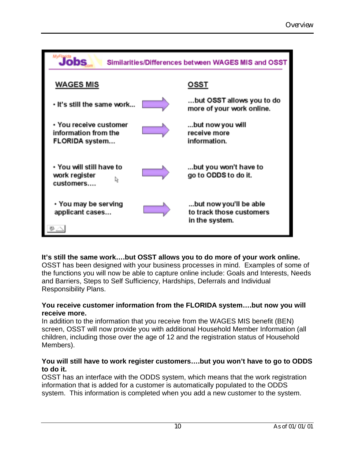| <b>Jobs</b><br>Similarities/Differences between WAGES MIS and OSST |  |                                                                      |  |  |  |
|--------------------------------------------------------------------|--|----------------------------------------------------------------------|--|--|--|
| <b>WAGES MIS</b>                                                   |  | OSST                                                                 |  |  |  |
| . It's still the same work                                         |  | but OSST allows you to do<br>more of your work online.               |  |  |  |
| • You receive customer<br>information from the<br>FLORIDA system   |  | but now you will<br>receive more<br>information.                     |  |  |  |
| . You will still have to<br>work register<br>customers             |  | but you won't have to<br>go to ODDS to do it.                        |  |  |  |
| • You may be serving<br>applicant cases                            |  | but now you'll be able<br>to track those customers<br>in the system. |  |  |  |

## **It's still the same work….but OSST allows you to do more of your work online.**

OSST has been designed with your business processes in mind. Examples of some of the functions you will now be able to capture online include: Goals and Interests, Needs and Barriers, Steps to Self Sufficiency, Hardships, Deferrals and Individual Responsibility Plans.

#### **You receive customer information from the FLORIDA system….but now you will receive more.**

In addition to the information that you receive from the WAGES MIS benefit (BEN) screen, OSST will now provide you with additional Household Member Information (all children, including those over the age of 12 and the registration status of Household Members).

## **You will still have to work register customers….but you won't have to go to ODDS to do it.**

OSST has an interface with the ODDS system, which means that the work registration information that is added for a customer is automatically populated to the ODDS system. This information is completed when you add a new customer to the system.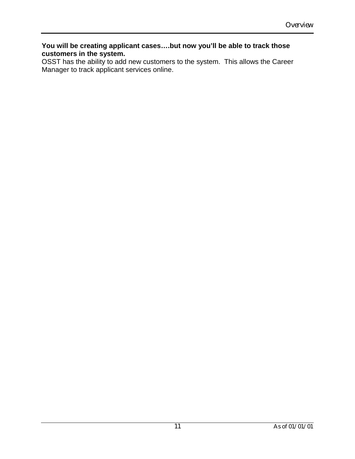#### **You will be creating applicant cases….but now you'll be able to track those customers in the system.**

OSST has the ability to add new customers to the system. This allows the Career Manager to track applicant services online.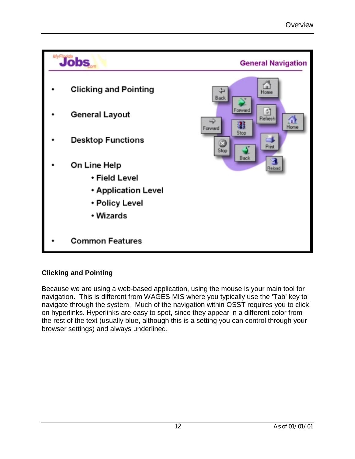

# **Clicking and Pointing**

Because we are using a web-based application, using the mouse is your main tool for navigation. This is different from WAGES MIS where you typically use the 'Tab' key to navigate through the system. Much of the navigation within OSST requires you to click on hyperlinks. Hyperlinks are easy to spot, since they appear in a different color from the rest of the text (usually blue, although this is a setting you can control through your browser settings) and always underlined.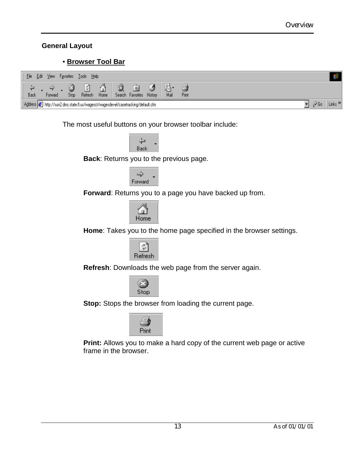## **General Layout**

# • **Browser Tool Bar**

| Edit<br>Eile | View<br>F <u>a</u> vorites | Help<br>$\mathbf I$ ools |                                                                                   |                               |      |             |            |     |                           |
|--------------|----------------------------|--------------------------|-----------------------------------------------------------------------------------|-------------------------------|------|-------------|------------|-----|---------------------------|
| Back         | Forward                    | ¢۹<br>Refresh<br>Stop    | À<br>Home                                                                         | 米<br>Search Favorites History | , en | Ly.<br>Mail | 6<br>Print |     |                           |
|              |                            |                          | Address & http://sun2.dms.state.fl.us/wagesct/wagesdevel/casetracking/default.cfm |                               |      |             |            | ∂Go | Links <sup>&gt;&gt;</sup> |

The most useful buttons on your browser toolbar include:



**Back**: Returns you to the previous page.



**Forward**: Returns you to a page you have backed up from.



**Home**: Takes you to the home page specified in the browser settings.



**Refresh**: Downloads the web page from the server again.



**Stop:** Stops the browser from loading the current page.



**Print:** Allows you to make a hard copy of the current web page or active frame in the browser.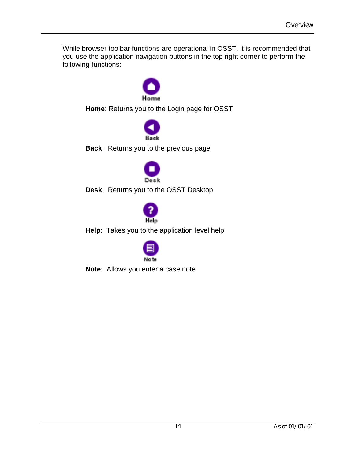While browser toolbar functions are operational in OSST, it is recommended that you use the application navigation buttons in the top right corner to perform the following functions:



**Home**: Returns you to the Login page for OSST



**Back**: Returns you to the previous page



**Desk**: Returns you to the OSST Desktop



**Help**: Takes you to the application level help



**Note**: Allows you enter a case note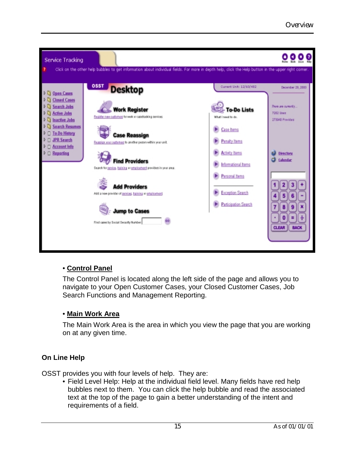

# • **Control Panel**

The Control Panel is located along the left side of the page and allows you to navigate to your Open Customer Cases, your Closed Customer Cases, Job Search Functions and Management Reporting.

# • **Main Work Area**

The Main Work Area is the area in which you view the page that you are working on at any given time.

# **On Line Help**

OSST provides you with four levels of help. They are:

• Field Level Help: Help at the individual field level. Many fields have red help bubbles next to them. You can click the help bubble and read the associated text at the top of the page to gain a better understanding of the intent and requirements of a field.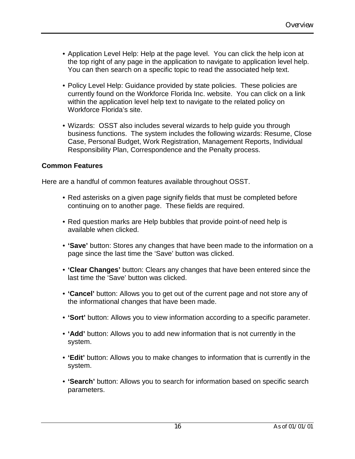- Application Level Help: Help at the page level. You can click the help icon at the top right of any page in the application to navigate to application level help. You can then search on a specific topic to read the associated help text.
- Policy Level Help: Guidance provided by state policies. These policies are currently found on the Workforce Florida Inc. website. You can click on a link within the application level help text to navigate to the related policy on Workforce Florida's site.
- Wizards: OSST also includes several wizards to help guide you through business functions. The system includes the following wizards: Resume, Close Case, Personal Budget, Work Registration, Management Reports, Individual Responsibility Plan, Correspondence and the Penalty process.

## **Common Features**

Here are a handful of common features available throughout OSST.

- Red asterisks on a given page signify fields that must be completed before continuing on to another page. These fields are required.
- Red question marks are Help bubbles that provide point-of need help is available when clicked.
- **'Save'** button: Stores any changes that have been made to the information on a page since the last time the 'Save' button was clicked.
- **'Clear Changes'** button: Clears any changes that have been entered since the last time the 'Save' button was clicked.
- **'Cancel'** button: Allows you to get out of the current page and not store any of the informational changes that have been made.
- **'Sort'** button: Allows you to view information according to a specific parameter.
- **'Add'** button: Allows you to add new information that is not currently in the system.
- **'Edit'** button: Allows you to make changes to information that is currently in the system.
- **'Search'** button: Allows you to search for information based on specific search parameters.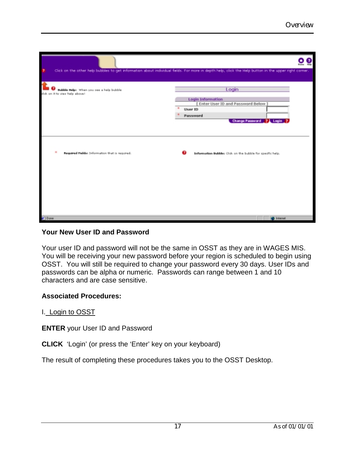| 7                                                                         | Click on the other help bubbles to get information about individual fields. For more in depth help, click the Help button in the upper right corner. |
|---------------------------------------------------------------------------|------------------------------------------------------------------------------------------------------------------------------------------------------|
| Bubble Relps When you see a help bubble<br>did: on it to view help above! | Login                                                                                                                                                |
|                                                                           | Login Information<br>[ Enter User ID and Password Below ]<br>User ID                                                                                 |
|                                                                           | Password<br>Change Password 21 Login 2                                                                                                               |
|                                                                           |                                                                                                                                                      |
|                                                                           |                                                                                                                                                      |
| $\mathbf{m}$<br>Required Fields: Information that is required.            | Information Bubbles Click on the bubble for specific help.                                                                                           |
|                                                                           |                                                                                                                                                      |
|                                                                           |                                                                                                                                                      |
|                                                                           |                                                                                                                                                      |
|                                                                           |                                                                                                                                                      |
| $210$ and                                                                 | <b>BD</b> Internet                                                                                                                                   |

## **Your New User ID and Password**

Your user ID and password will not be the same in OSST as they are in WAGES MIS. You will be receiving your new password before your region is scheduled to begin using OSST. You will still be required to change your password every 30 days. User IDs and passwords can be alpha or numeric. Passwords can range between 1 and 10 characters and are case sensitive.

## **Associated Procedures:**

I. Login to OSST

**ENTER** your User ID and Password

**CLICK** 'Login' (or press the 'Enter' key on your keyboard)

The result of completing these procedures takes you to the OSST Desktop.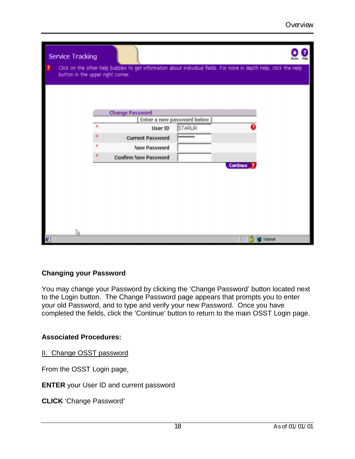|   | Service Tracking                  |                             |                                | Home                                                                                                               |
|---|-----------------------------------|-----------------------------|--------------------------------|--------------------------------------------------------------------------------------------------------------------|
| Ð | button in the upper right corner. |                             |                                | Click on the other help bubbles to get information about individual fields. For more in depth help, click the Help |
|   |                                   |                             |                                |                                                                                                                    |
|   |                                   | <b>Change Password</b>      |                                |                                                                                                                    |
|   |                                   |                             | [ Enter a new password below ] |                                                                                                                    |
|   |                                   | User ID                     | STARUR                         |                                                                                                                    |
|   |                                   | <b>Current Password</b>     | ---------                      |                                                                                                                    |
|   |                                   | New Password                |                                |                                                                                                                    |
|   |                                   | <b>Confirm New Password</b> |                                |                                                                                                                    |
|   |                                   |                             |                                | Continue <sub>2</sub>                                                                                              |
|   |                                   |                             |                                |                                                                                                                    |
|   |                                   |                             |                                |                                                                                                                    |
|   |                                   |                             |                                |                                                                                                                    |
|   |                                   |                             |                                |                                                                                                                    |
|   |                                   |                             |                                |                                                                                                                    |
|   |                                   |                             |                                |                                                                                                                    |
|   | ₫                                 |                             |                                |                                                                                                                    |
| ø |                                   |                             |                                | <b>C</b> Internet                                                                                                  |

## **Changing your Password**

You may change your Password by clicking the 'Change Password' button located next to the Login button. The Change Password page appears that prompts you to enter your old Password, and to type and verify your new Password. Once you have completed the fields, click the 'Continue' button to return to the main OSST Login page.

## **Associated Procedures:**

II. Change OSST password

From the OSST Login page,

**ENTER** your User ID and current password

**CLICK** 'Change Password'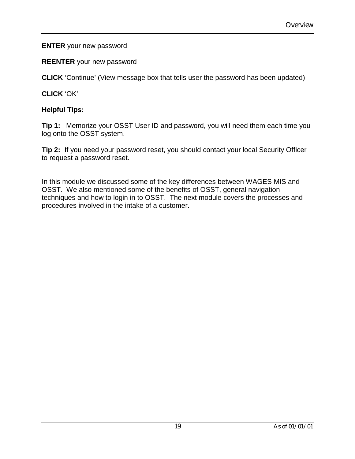## **ENTER** your new password

**REENTER** your new password

**CLICK** 'Continue' (View message box that tells user the password has been updated)

# **CLICK** 'OK'

# **Helpful Tips:**

**Tip 1:** Memorize your OSST User ID and password, you will need them each time you log onto the OSST system.

**Tip 2:** If you need your password reset, you should contact your local Security Officer to request a password reset.

In this module we discussed some of the key differences between WAGES MIS and OSST. We also mentioned some of the benefits of OSST, general navigation techniques and how to login in to OSST. The next module covers the processes and procedures involved in the intake of a customer.